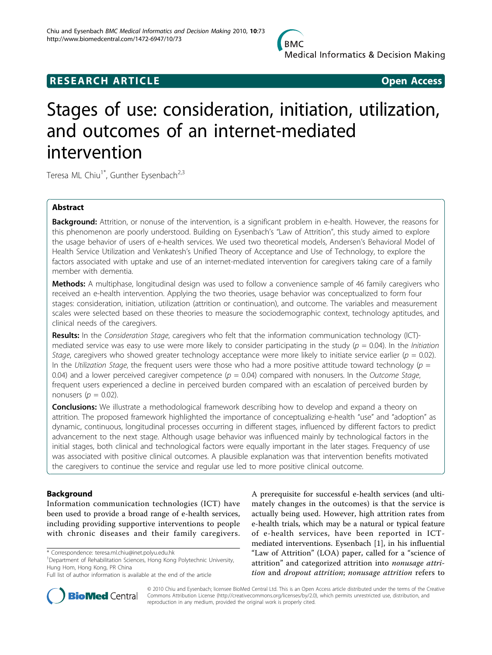

## **RESEARCH ARTICLE Example 2018 CONSUMING ACCESS**

# Stages of use: consideration, initiation, utilization, and outcomes of an internet-mediated intervention

Teresa ML Chiu<sup>1\*</sup>, Gunther Eysenbach<sup>2,3</sup>

## Abstract

Background: Attrition, or nonuse of the intervention, is a significant problem in e-health. However, the reasons for this phenomenon are poorly understood. Building on Eysenbach's "Law of Attrition", this study aimed to explore the usage behavior of users of e-health services. We used two theoretical models, Andersen's Behavioral Model of Health Service Utilization and Venkatesh's Unified Theory of Acceptance and Use of Technology, to explore the factors associated with uptake and use of an internet-mediated intervention for caregivers taking care of a family member with dementia.

Methods: A multiphase, longitudinal design was used to follow a convenience sample of 46 family caregivers who received an e-health intervention. Applying the two theories, usage behavior was conceptualized to form four stages: consideration, initiation, utilization (attrition or continuation), and outcome. The variables and measurement scales were selected based on these theories to measure the sociodemographic context, technology aptitudes, and clinical needs of the caregivers.

Results: In the Consideration Stage, caregivers who felt that the information communication technology (ICT)mediated service was easy to use were more likely to consider participating in the study ( $p = 0.04$ ). In the *Initiation Stage*, caregivers who showed greater technology acceptance were more likely to initiate service earlier ( $p = 0.02$ ). In the Utilization Stage, the frequent users were those who had a more positive attitude toward technology ( $p =$ 0.04) and a lower perceived caregiver competence ( $p = 0.04$ ) compared with nonusers. In the Outcome Stage, frequent users experienced a decline in perceived burden compared with an escalation of perceived burden by nonusers ( $p = 0.02$ ).

**Conclusions:** We illustrate a methodological framework describing how to develop and expand a theory on attrition. The proposed framework highlighted the importance of conceptualizing e-health "use" and "adoption" as dynamic, continuous, longitudinal processes occurring in different stages, influenced by different factors to predict advancement to the next stage. Although usage behavior was influenced mainly by technological factors in the initial stages, both clinical and technological factors were equally important in the later stages. Frequency of use was associated with positive clinical outcomes. A plausible explanation was that intervention benefits motivated the caregivers to continue the service and regular use led to more positive clinical outcome.

## Background

Information communication technologies (ICT) have been used to provide a broad range of e-health services, including providing supportive interventions to people with chronic diseases and their family caregivers.

Full list of author information is available at the end of the article





© 2010 Chiu and Eysenbach; licensee BioMed Central Ltd. This is an Open Access article distributed under the terms of the Creative Commons Attribution License [\(http://creativecommons.org/licenses/by/2.0](http://creativecommons.org/licenses/by/2.0)), which permits unrestricted use, distribution, and reproduction in any medium, provided the original work is properly cited.

<sup>\*</sup> Correspondence: [teresa.ml.chiu@inet.polyu.edu.hk](mailto:teresa.ml.chiu@inet.polyu.edu.hk)

<sup>&</sup>lt;sup>1</sup>Department of Rehabilitation Sciences, Hong Kong Polytechnic University, Hung Hom, Hong Kong, PR China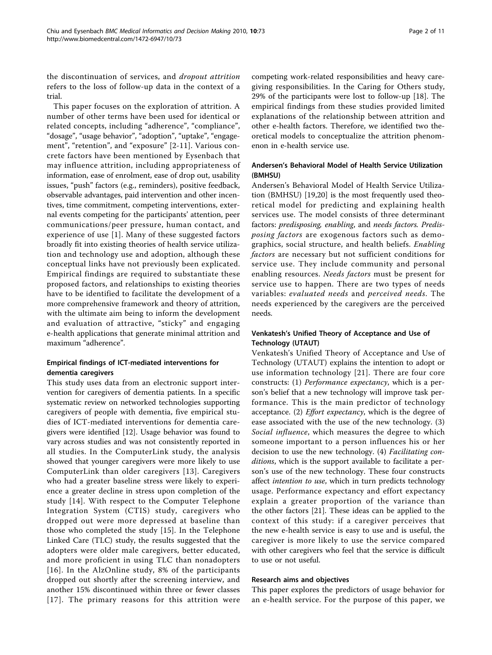the discontinuation of services, and dropout attrition refers to the loss of follow-up data in the context of a trial.

This paper focuses on the exploration of attrition. A number of other terms have been used for identical or related concepts, including "adherence", "compliance", "dosage", "usage behavior", "adoption", "uptake", "engagement", "retention", and "exposure" [[2-11\]](#page-9-0). Various concrete factors have been mentioned by Eysenbach that may influence attrition, including appropriateness of information, ease of enrolment, ease of drop out, usability issues, "push" factors (e.g., reminders), positive feedback, observable advantages, paid intervention and other incentives, time commitment, competing interventions, external events competing for the participants' attention, peer communications/peer pressure, human contact, and experience of use [[1](#page-9-0)]. Many of these suggested factors broadly fit into existing theories of health service utilization and technology use and adoption, although these conceptual links have not previously been explicated. Empirical findings are required to substantiate these proposed factors, and relationships to existing theories have to be identified to facilitate the development of a more comprehensive framework and theory of attrition, with the ultimate aim being to inform the development and evaluation of attractive, "sticky" and engaging e-health applications that generate minimal attrition and maximum "adherence".

## Empirical findings of ICT-mediated interventions for dementia caregivers

This study uses data from an electronic support intervention for caregivers of dementia patients. In a specific systematic review on networked technologies supporting caregivers of people with dementia, five empirical studies of ICT-mediated interventions for dementia caregivers were identified [\[12](#page-9-0)]. Usage behavior was found to vary across studies and was not consistently reported in all studies. In the ComputerLink study, the analysis showed that younger caregivers were more likely to use ComputerLink than older caregivers [[13](#page-9-0)]. Caregivers who had a greater baseline stress were likely to experience a greater decline in stress upon completion of the study [[14](#page-9-0)]. With respect to the Computer Telephone Integration System (CTIS) study, caregivers who dropped out were more depressed at baseline than those who completed the study [[15\]](#page-9-0). In the Telephone Linked Care (TLC) study, the results suggested that the adopters were older male caregivers, better educated, and more proficient in using TLC than nonadopters [[16\]](#page-9-0). In the AlzOnline study, 8% of the participants dropped out shortly after the screening interview, and another 15% discontinued within three or fewer classes [[17](#page-9-0)]. The primary reasons for this attrition were competing work-related responsibilities and heavy caregiving responsibilities. In the Caring for Others study, 29% of the participants were lost to follow-up [[18](#page-9-0)]. The empirical findings from these studies provided limited explanations of the relationship between attrition and other e-health factors. Therefore, we identified two theoretical models to conceptualize the attrition phenomenon in e-health service use.

## Andersen's Behavioral Model of Health Service Utilization (BMHSU)

Andersen's Behavioral Model of Health Service Utilization (BMHSU) [[19,20\]](#page-9-0) is the most frequently used theoretical model for predicting and explaining health services use. The model consists of three determinant factors: predisposing, enabling, and needs factors. Predisposing factors are exogenous factors such as demographics, social structure, and health beliefs. Enabling factors are necessary but not sufficient conditions for service use. They include community and personal enabling resources. Needs factors must be present for service use to happen. There are two types of needs variables: evaluated needs and perceived needs. The needs experienced by the caregivers are the perceived needs.

## Venkatesh's Unified Theory of Acceptance and Use of Technology (UTAUT)

Venkatesh's Unified Theory of Acceptance and Use of Technology (UTAUT) explains the intention to adopt or use information technology [\[21\]](#page-9-0). There are four core constructs: (1) Performance expectancy, which is a person's belief that a new technology will improve task performance. This is the main predictor of technology acceptance. (2) *Effort expectancy*, which is the degree of ease associated with the use of the new technology. (3) Social influence, which measures the degree to which someone important to a person influences his or her decision to use the new technology. (4) Facilitating conditions, which is the support available to facilitate a person's use of the new technology. These four constructs affect intention to use, which in turn predicts technology usage. Performance expectancy and effort expectancy explain a greater proportion of the variance than the other factors [\[21](#page-9-0)]. These ideas can be applied to the context of this study: if a caregiver perceives that the new e-health service is easy to use and is useful, the caregiver is more likely to use the service compared with other caregivers who feel that the service is difficult to use or not useful.

## Research aims and objectives

This paper explores the predictors of usage behavior for an e-health service. For the purpose of this paper, we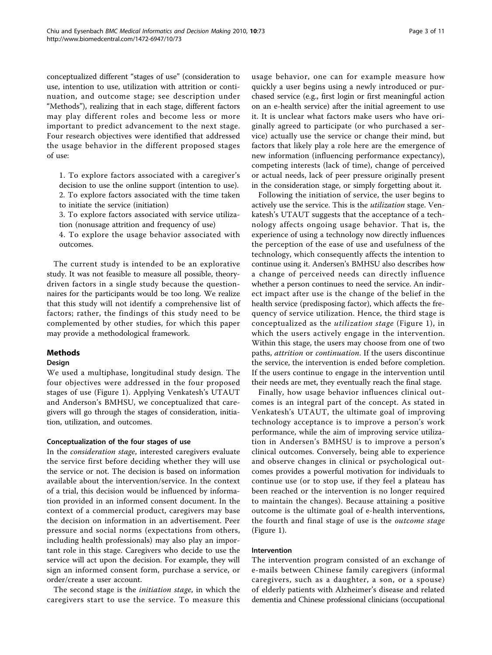conceptualized different "stages of use" (consideration to use, intention to use, utilization with attrition or continuation, and outcome stage; see description under "Methods"), realizing that in each stage, different factors may play different roles and become less or more important to predict advancement to the next stage. Four research objectives were identified that addressed the usage behavior in the different proposed stages of use:

1. To explore factors associated with a caregiver's decision to use the online support (intention to use). 2. To explore factors associated with the time taken to initiate the service (initiation)

3. To explore factors associated with service utilization (nonusage attrition and frequency of use)

4. To explore the usage behavior associated with outcomes.

The current study is intended to be an explorative study. It was not feasible to measure all possible, theorydriven factors in a single study because the questionnaires for the participants would be too long. We realize that this study will not identify a comprehensive list of factors; rather, the findings of this study need to be complemented by other studies, for which this paper may provide a methodological framework.

#### Methods

#### Design

We used a multiphase, longitudinal study design. The four objectives were addressed in the four proposed stages of use (Figure [1](#page-3-0)). Applying Venkatesh's UTAUT and Anderson's BMHSU, we conceptualized that caregivers will go through the stages of consideration, initiation, utilization, and outcomes.

#### Conceptualization of the four stages of use

In the consideration stage, interested caregivers evaluate the service first before deciding whether they will use the service or not. The decision is based on information available about the intervention/service. In the context of a trial, this decision would be influenced by information provided in an informed consent document. In the context of a commercial product, caregivers may base the decision on information in an advertisement. Peer pressure and social norms (expectations from others, including health professionals) may also play an important role in this stage. Caregivers who decide to use the service will act upon the decision. For example, they will sign an informed consent form, purchase a service, or order/create a user account.

The second stage is the *initiation stage*, in which the caregivers start to use the service. To measure this usage behavior, one can for example measure how quickly a user begins using a newly introduced or purchased service (e.g., first login or first meaningful action on an e-health service) after the initial agreement to use it. It is unclear what factors make users who have originally agreed to participate (or who purchased a service) actually use the service or change their mind, but factors that likely play a role here are the emergence of new information (influencing performance expectancy), competing interests (lack of time), change of perceived or actual needs, lack of peer pressure originally present in the consideration stage, or simply forgetting about it.

Following the initiation of service, the user begins to actively use the service. This is the utilization stage. Venkatesh's UTAUT suggests that the acceptance of a technology affects ongoing usage behavior. That is, the experience of using a technology now directly influences the perception of the ease of use and usefulness of the technology, which consequently affects the intention to continue using it. Andersen's BMHSU also describes how a change of perceived needs can directly influence whether a person continues to need the service. An indirect impact after use is the change of the belief in the health service (predisposing factor), which affects the frequency of service utilization. Hence, the third stage is conceptualized as the utilization stage (Figure [1\)](#page-3-0), in which the users actively engage in the intervention. Within this stage, the users may choose from one of two paths, attrition or continuation. If the users discontinue the service, the intervention is ended before completion. If the users continue to engage in the intervention until their needs are met, they eventually reach the final stage.

Finally, how usage behavior influences clinical outcomes is an integral part of the concept. As stated in Venkatesh's UTAUT, the ultimate goal of improving technology acceptance is to improve a person's work performance, while the aim of improving service utilization in Andersen's BMHSU is to improve a person's clinical outcomes. Conversely, being able to experience and observe changes in clinical or psychological outcomes provides a powerful motivation for individuals to continue use (or to stop use, if they feel a plateau has been reached or the intervention is no longer required to maintain the changes). Because attaining a positive outcome is the ultimate goal of e-health interventions, the fourth and final stage of use is the outcome stage (Figure [1\)](#page-3-0).

#### Intervention

The intervention program consisted of an exchange of e-mails between Chinese family caregivers (informal caregivers, such as a daughter, a son, or a spouse) of elderly patients with Alzheimer's disease and related dementia and Chinese professional clinicians (occupational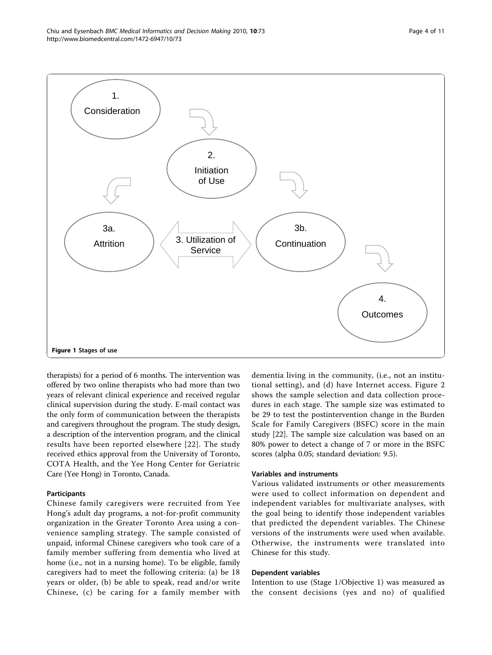<span id="page-3-0"></span>

therapists) for a period of 6 months. The intervention was offered by two online therapists who had more than two years of relevant clinical experience and received regular clinical supervision during the study. E-mail contact was the only form of communication between the therapists and caregivers throughout the program. The study design, a description of the intervention program, and the clinical results have been reported elsewhere [[22](#page-10-0)]. The study received ethics approval from the University of Toronto, COTA Health, and the Yee Hong Center for Geriatric Care (Yee Hong) in Toronto, Canada.

## Participants

Chinese family caregivers were recruited from Yee Hong's adult day programs, a not-for-profit community organization in the Greater Toronto Area using a convenience sampling strategy. The sample consisted of unpaid, informal Chinese caregivers who took care of a family member suffering from dementia who lived at home (i.e., not in a nursing home). To be eligible, family caregivers had to meet the following criteria: (a) be 18 years or older, (b) be able to speak, read and/or write Chinese, (c) be caring for a family member with

dementia living in the community, (i.e., not an institutional setting), and (d) have Internet access. Figure [2](#page-4-0) shows the sample selection and data collection procedures in each stage. The sample size was estimated to be 29 to test the postintervention change in the Burden Scale for Family Caregivers (BSFC) score in the main study [\[22](#page-10-0)]. The sample size calculation was based on an 80% power to detect a change of 7 or more in the BSFC scores (alpha 0.05; standard deviation: 9.5).

## Variables and instruments

Various validated instruments or other measurements were used to collect information on dependent and independent variables for multivariate analyses, with the goal being to identify those independent variables that predicted the dependent variables. The Chinese versions of the instruments were used when available. Otherwise, the instruments were translated into Chinese for this study.

#### Dependent variables

Intention to use (Stage 1/Objective 1) was measured as the consent decisions (yes and no) of qualified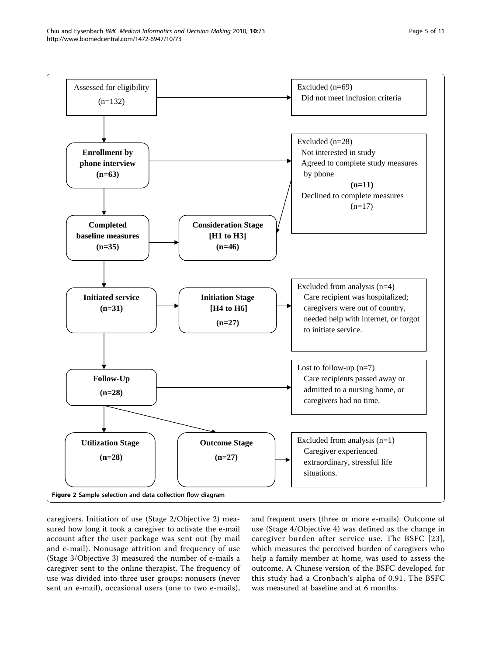<span id="page-4-0"></span>

caregivers. Initiation of use (Stage 2/Objective 2) measured how long it took a caregiver to activate the e-mail account after the user package was sent out (by mail and e-mail). Nonusage attrition and frequency of use (Stage 3/Objective 3) measured the number of e-mails a caregiver sent to the online therapist. The frequency of use was divided into three user groups: nonusers (never sent an e-mail), occasional users (one to two e-mails),

and frequent users (three or more e-mails). Outcome of use (Stage 4/Objective 4) was defined as the change in caregiver burden after service use. The BSFC [[23\]](#page-10-0), which measures the perceived burden of caregivers who help a family member at home, was used to assess the outcome. A Chinese version of the BSFC developed for this study had a Cronbach's alpha of 0.91. The BSFC was measured at baseline and at 6 months.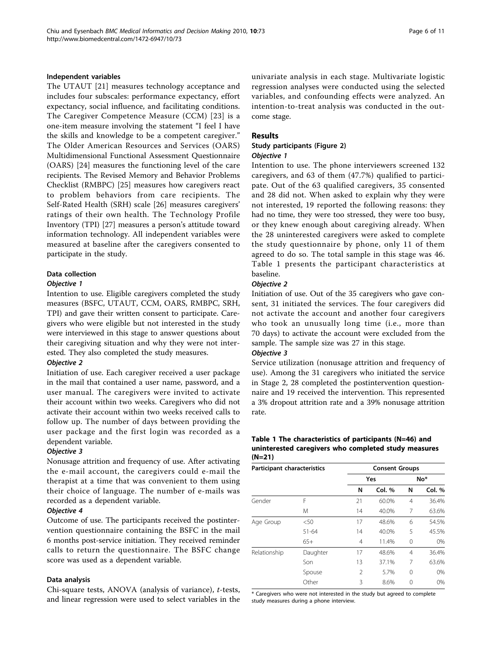#### Independent variables

The UTAUT [\[21](#page-9-0)] measures technology acceptance and includes four subscales: performance expectancy, effort expectancy, social influence, and facilitating conditions. The Caregiver Competence Measure (CCM) [[23\]](#page-10-0) is a one-item measure involving the statement "I feel I have the skills and knowledge to be a competent caregiver." The Older American Resources and Services (OARS) Multidimensional Functional Assessment Questionnaire (OARS) [[24](#page-10-0)] measures the functioning level of the care recipients. The Revised Memory and Behavior Problems Checklist (RMBPC) [\[25\]](#page-10-0) measures how caregivers react to problem behaviors from care recipients. The Self-Rated Health (SRH) scale [[26\]](#page-10-0) measures caregivers' ratings of their own health. The Technology Profile Inventory (TPI) [[27\]](#page-10-0) measures a person's attitude toward information technology. All independent variables were measured at baseline after the caregivers consented to participate in the study.

#### Data collection

#### Objective 1

Intention to use. Eligible caregivers completed the study measures (BSFC, UTAUT, CCM, OARS, RMBPC, SRH, TPI) and gave their written consent to participate. Caregivers who were eligible but not interested in the study were interviewed in this stage to answer questions about their caregiving situation and why they were not interested. They also completed the study measures.

#### Objective 2

Initiation of use. Each caregiver received a user package in the mail that contained a user name, password, and a user manual. The caregivers were invited to activate their account within two weeks. Caregivers who did not activate their account within two weeks received calls to follow up. The number of days between providing the user package and the first login was recorded as a dependent variable.

#### Objective 3

Nonusage attrition and frequency of use. After activating the e-mail account, the caregivers could e-mail the therapist at a time that was convenient to them using their choice of language. The number of e-mails was recorded as a dependent variable.

#### Objective 4

Outcome of use. The participants received the postintervention questionnaire containing the BSFC in the mail 6 months post-service initiation. They received reminder calls to return the questionnaire. The BSFC change score was used as a dependent variable.

#### Data analysis

Chi-square tests, ANOVA (analysis of variance), t-tests, and linear regression were used to select variables in the univariate analysis in each stage. Multivariate logistic regression analyses were conducted using the selected variables, and confounding effects were analyzed. An intention-to-treat analysis was conducted in the outcome stage.

### Results

#### Study participants (Figure [2](#page-4-0)) Objective 1

Intention to use. The phone interviewers screened 132 caregivers, and 63 of them (47.7%) qualified to participate. Out of the 63 qualified caregivers, 35 consented and 28 did not. When asked to explain why they were not interested, 19 reported the following reasons: they had no time, they were too stressed, they were too busy, or they knew enough about caregiving already. When the 28 uninterested caregivers were asked to complete the study questionnaire by phone, only 11 of them agreed to do so. The total sample in this stage was 46. Table 1 presents the participant characteristics at baseline.

#### Objective 2

Initiation of use. Out of the 35 caregivers who gave consent, 31 initiated the services. The four caregivers did not activate the account and another four caregivers who took an unusually long time (i.e., more than 70 days) to activate the account were excluded from the sample. The sample size was 27 in this stage.

## Objective 3

Service utilization (nonusage attrition and frequency of use). Among the 31 caregivers who initiated the service in Stage 2, 28 completed the postintervention questionnaire and 19 received the intervention. This represented a 3% dropout attrition rate and a 39% nonusage attrition rate.

## Table 1 The characteristics of participants (N=46) and uninterested caregivers who completed study measures (N=21)

| Participant characteristics |           | <b>Consent Groups</b> |        |          |        |  |
|-----------------------------|-----------|-----------------------|--------|----------|--------|--|
|                             |           | Yes                   |        | $No*$    |        |  |
|                             |           | N                     | Col. % | N        | Col. % |  |
| Gender                      | F         | 21                    | 60.0%  | 4        | 36.4%  |  |
|                             | M         | 14                    | 40.0%  | 7        | 63.6%  |  |
| Age Group                   | $<$ 50    | 17                    | 48.6%  | 6        | 54.5%  |  |
|                             | $51 - 64$ | 14                    | 40.0%  | 5        | 45.5%  |  |
|                             | $65+$     | 4                     | 11.4%  | 0        | 0%     |  |
| Relationship                | Daughter  | 17                    | 48.6%  | 4        | 36.4%  |  |
|                             | Son       | 13                    | 37.1%  | 7        | 63.6%  |  |
|                             | Spouse    | 2                     | 5.7%   | $\Omega$ | 0%     |  |
|                             | Other     | 3                     | 8.6%   | Λ        | 0%     |  |

\* Caregivers who were not interested in the study but agreed to complete study measures during a phone interview.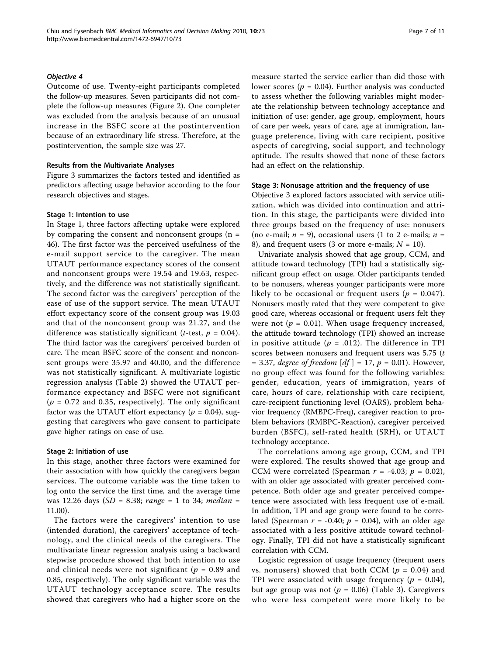## Objective 4

Outcome of use. Twenty-eight participants completed the follow-up measures. Seven participants did not complete the follow-up measures (Figure [2](#page-4-0)). One completer was excluded from the analysis because of an unusual increase in the BSFC score at the postintervention because of an extraordinary life stress. Therefore, at the postintervention, the sample size was 27.

#### Results from the Multivariate Analyses

Figure [3](#page-7-0) summarizes the factors tested and identified as predictors affecting usage behavior according to the four research objectives and stages.

#### Stage 1: Intention to use

In Stage 1, three factors affecting uptake were explored by comparing the consent and nonconsent groups  $(n =$ 46). The first factor was the perceived usefulness of the e-mail support service to the caregiver. The mean UTAUT performance expectancy scores of the consent and nonconsent groups were 19.54 and 19.63, respectively, and the difference was not statistically significant. The second factor was the caregivers' perception of the ease of use of the support service. The mean UTAUT effort expectancy score of the consent group was 19.03 and that of the nonconsent group was 21.27, and the difference was statistically significant (*t*-test,  $p = 0.04$ ). The third factor was the caregivers' perceived burden of care. The mean BSFC score of the consent and nonconsent groups were 35.97 and 40.00, and the difference was not statistically significant. A multivariate logistic regression analysis (Table [2\)](#page-7-0) showed the UTAUT performance expectancy and BSFC were not significant ( $p = 0.72$  and 0.35, respectively). The only significant factor was the UTAUT effort expectancy ( $p = 0.04$ ), suggesting that caregivers who gave consent to participate gave higher ratings on ease of use.

#### Stage 2: Initiation of use

In this stage, another three factors were examined for their association with how quickly the caregivers began services. The outcome variable was the time taken to log onto the service the first time, and the average time was 12.26 days ( $SD = 8.38$ ; range = 1 to 34; median = 11.00).

The factors were the caregivers' intention to use (intended duration), the caregivers' acceptance of technology, and the clinical needs of the caregivers. The multivariate linear regression analysis using a backward stepwise procedure showed that both intention to use and clinical needs were not significant ( $p = 0.89$  and 0.85, respectively). The only significant variable was the UTAUT technology acceptance score. The results showed that caregivers who had a higher score on the measure started the service earlier than did those with lower scores ( $p = 0.04$ ). Further analysis was conducted to assess whether the following variables might moderate the relationship between technology acceptance and initiation of use: gender, age group, employment, hours of care per week, years of care, age at immigration, language preference, living with care recipient, positive aspects of caregiving, social support, and technology aptitude. The results showed that none of these factors had an effect on the relationship.

#### Stage 3: Nonusage attrition and the frequency of use

Objective 3 explored factors associated with service utilization, which was divided into continuation and attrition. In this stage, the participants were divided into three groups based on the frequency of use: nonusers (no e-mail;  $n = 9$ ), occasional users (1 to 2 e-mails;  $n =$ 8), and frequent users (3 or more e-mails;  $N = 10$ ).

Univariate analysis showed that age group, CCM, and attitude toward technology (TPI) had a statistically significant group effect on usage. Older participants tended to be nonusers, whereas younger participants were more likely to be occasional or frequent users ( $p = 0.047$ ). Nonusers mostly rated that they were competent to give good care, whereas occasional or frequent users felt they were not ( $p = 0.01$ ). When usage frequency increased, the attitude toward technology (TPI) showed an increase in positive attitude ( $p = .012$ ). The difference in TPI scores between nonusers and frequent users was  $5.75$  (t  $= 3.37$ , degree of freedom  $[df] = 17$ ,  $p = 0.01$ ). However, no group effect was found for the following variables: gender, education, years of immigration, years of care, hours of care, relationship with care recipient, care-recipient functioning level (OARS), problem behavior frequency (RMBPC-Freq), caregiver reaction to problem behaviors (RMBPC-Reaction), caregiver perceived burden (BSFC), self-rated health (SRH), or UTAUT technology acceptance.

The correlations among age group, CCM, and TPI were explored. The results showed that age group and CCM were correlated (Spearman  $r = -4.03$ ;  $p = 0.02$ ), with an older age associated with greater perceived competence. Both older age and greater perceived competence were associated with less frequent use of e-mail. In addition, TPI and age group were found to be correlated (Spearman  $r = -0.40; p = 0.04$ ), with an older age associated with a less positive attitude toward technology. Finally, TPI did not have a statistically significant correlation with CCM.

Logistic regression of usage frequency (frequent users vs. nonusers) showed that both CCM ( $p = 0.04$ ) and TPI were associated with usage frequency ( $p = 0.04$ ), but age group was not ( $p = 0.06$ ) (Table [3](#page-8-0)). Caregivers who were less competent were more likely to be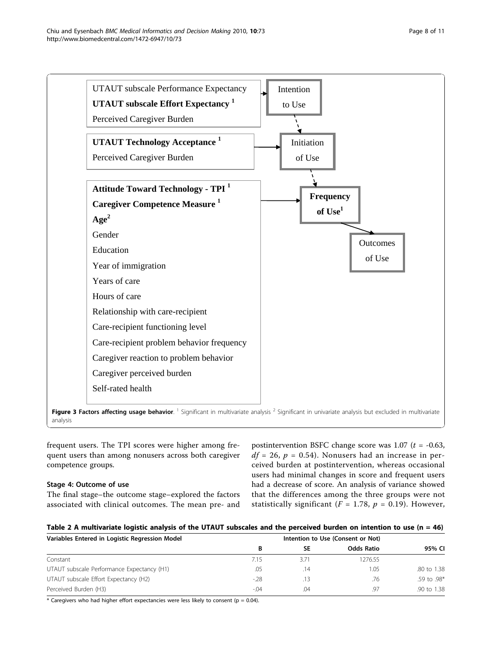<span id="page-7-0"></span>

frequent users. The TPI scores were higher among frequent users than among nonusers across both caregiver competence groups.

## Stage 4: Outcome of use

The final stage–the outcome stage–explored the factors associated with clinical outcomes. The mean pre- and postintervention BSFC change score was  $1.07$  ( $t = -0.63$ ,  $df = 26$ ,  $p = 0.54$ ). Nonusers had an increase in perceived burden at postintervention, whereas occasional users had minimal changes in score and frequent users had a decrease of score. An analysis of variance showed that the differences among the three groups were not statistically significant ( $F = 1.78$ ,  $p = 0.19$ ). However,

|  |  | Table 2 A multivariate logistic analysis of the UTAUT subscales and the perceived burden on intention to use (n = 46) |
|--|--|-----------------------------------------------------------------------------------------------------------------------|
|--|--|-----------------------------------------------------------------------------------------------------------------------|

| Variables Entered in Logistic Regression Model | Intention to Use (Consent or Not) |      |                   |                 |  |
|------------------------------------------------|-----------------------------------|------|-------------------|-----------------|--|
|                                                | B                                 | SΕ   | <b>Odds Ratio</b> | 95% CI          |  |
| Constant                                       | 7.15                              | 3.71 | 1276.55           |                 |  |
| UTAUT subscale Performance Expectancy (H1)     | .05                               | .14  | 1.05              | .80 to 1.38     |  |
| UTAUT subscale Effort Expectancy (H2)          | -.28                              | .13  | .76               | $.59$ to $.98*$ |  |
| Perceived Burden (H3)                          | $-.04$                            | .04  | .97               | $.90$ to $1.38$ |  |

\* Caregivers who had higher effort expectancies were less likely to consent ( $p = 0.04$ ).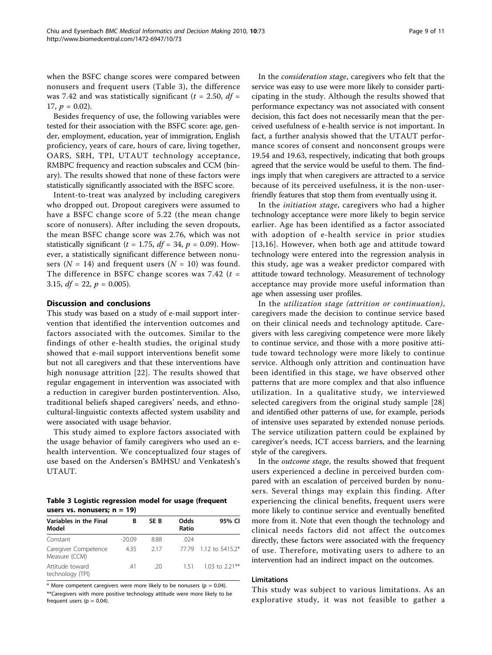<span id="page-8-0"></span>when the BSFC change scores were compared between nonusers and frequent users (Table 3), the difference was 7.42 and was statistically significant ( $t = 2.50$ ,  $df =$ 17,  $p = 0.02$ ).

Besides frequency of use, the following variables were tested for their association with the BSFC score: age, gender, employment, education, year of immigration, English proficiency, years of care, hours of care, living together, OARS, SRH, TPI, UTAUT technology acceptance, RMBPC frequency and reaction subscales and CCM (binary). The results showed that none of these factors were statistically significantly associated with the BSFC score.

Intent-to-treat was analyzed by including caregivers who dropped out. Dropout caregivers were assumed to have a BSFC change score of 5.22 (the mean change score of nonusers). After including the seven dropouts, the mean BSFC change score was 2.76, which was not statistically significant ( $t = 1.75$ ,  $df = 34$ ,  $p = 0.09$ ). However, a statistically significant difference between nonusers ( $N = 14$ ) and frequent users ( $N = 10$ ) was found. The difference in BSFC change scores was 7.42  $(t =$ 3.15,  $df = 22$ ,  $p = 0.005$ ).

#### Discussion and conclusions

This study was based on a study of e-mail support intervention that identified the intervention outcomes and factors associated with the outcomes. Similar to the findings of other e-health studies, the original study showed that e-mail support interventions benefit some but not all caregivers and that these interventions have high nonusage attrition [[22](#page-10-0)]. The results showed that regular engagement in intervention was associated with a reduction in caregiver burden postintervention. Also, traditional beliefs shaped caregivers' needs, and ethnocultural-linguistic contexts affected system usability and were associated with usage behavior.

This study aimed to explore factors associated with the usage behavior of family caregivers who used an ehealth intervention. We conceptualized four stages of use based on the Andersen's BMHSU and Venkatesh's UTAUT.

Table 3 Logistic regression model for usage (frequent users vs. nonusers;  $n = 19$ )

| Variables in the Final<br>Model       | в        | SE B | Odds<br>Ratio | 95% CI                |
|---------------------------------------|----------|------|---------------|-----------------------|
| Constant                              | $-20.09$ | 8.88 | 024           |                       |
| Caregiver Competence<br>Measure (CCM) | 435      | 217  |               | 77.79 1.12 to 5415.2* |
| Attitude toward<br>technology (TPI)   | -41      | -20  | 151           | 1.03 to $2.21***$     |

 $*$  More competent caregivers were more likely to be nonusers ( $p = 0.04$ ). \*\*Caregivers with more positive technology attitude were more likely to be frequent users ( $p = 0.04$ ).

In the consideration stage, caregivers who felt that the service was easy to use were more likely to consider participating in the study. Although the results showed that performance expectancy was not associated with consent decision, this fact does not necessarily mean that the perceived usefulness of e-health service is not important. In fact, a further analysis showed that the UTAUT performance scores of consent and nonconsent groups were 19.54 and 19.63, respectively, indicating that both groups agreed that the service would be useful to them. The findings imply that when caregivers are attracted to a service because of its perceived usefulness, it is the non-userfriendly features that stop them from eventually using it.

In the initiation stage, caregivers who had a higher technology acceptance were more likely to begin service earlier. Age has been identified as a factor associated with adoption of e-health service in prior studies [[13,16](#page-9-0)]. However, when both age and attitude toward technology were entered into the regression analysis in this study, age was a weaker predictor compared with attitude toward technology. Measurement of technology acceptance may provide more useful information than age when assessing user profiles.

In the utilization stage (attrition or continuation), caregivers made the decision to continue service based on their clinical needs and technology aptitude. Caregivers with less caregiving competence were more likely to continue service, and those with a more positive attitude toward technology were more likely to continue service. Although only attrition and continuation have been identified in this stage, we have observed other patterns that are more complex and that also influence utilization. In a qualitative study, we interviewed selected caregivers from the original study sample [\[28](#page-10-0)] and identified other patterns of use, for example, periods of intensive uses separated by extended nonuse periods. The service utilization pattern could be explained by caregiver's needs, ICT access barriers, and the learning style of the caregivers.

In the outcome stage, the results showed that frequent users experienced a decline in perceived burden compared with an escalation of perceived burden by nonusers. Several things may explain this finding. After experiencing the clinical benefits, frequent users were more likely to continue service and eventually benefited more from it. Note that even though the technology and clinical needs factors did not affect the outcomes directly, these factors were associated with the frequency of use. Therefore, motivating users to adhere to an intervention had an indirect impact on the outcomes.

#### Limitations

This study was subject to various limitations. As an explorative study, it was not feasible to gather a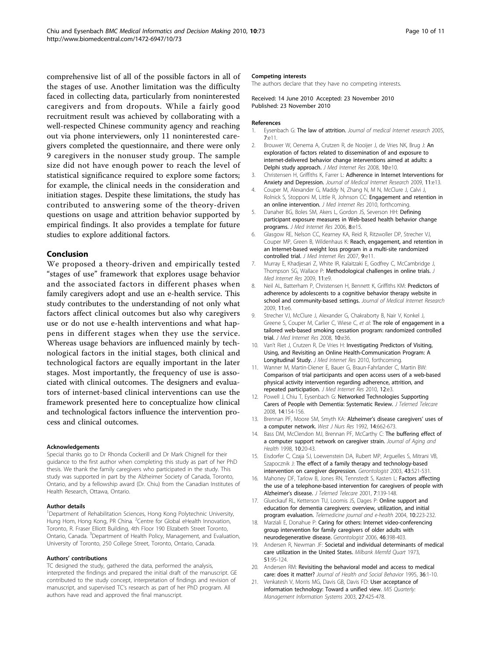<span id="page-9-0"></span>comprehensive list of all of the possible factors in all of the stages of use. Another limitation was the difficulty faced in collecting data, particularly from noninterested caregivers and from dropouts. While a fairly good recruitment result was achieved by collaborating with a well-respected Chinese community agency and reaching out via phone interviewers, only 11 noninterested caregivers completed the questionnaire, and there were only 9 caregivers in the nonuser study group. The sample size did not have enough power to reach the level of statistical significance required to explore some factors; for example, the clinical needs in the consideration and initiation stages. Despite these limitations, the study has contributed to answering some of the theory-driven questions on usage and attrition behavior supported by empirical findings. It also provides a template for future studies to explore additional factors.

#### Conclusion

We proposed a theory-driven and empirically tested "stages of use" framework that explores usage behavior and the associated factors in different phases when family caregivers adopt and use an e-health service. This study contributes to the understanding of not only what factors affect clinical outcomes but also why caregivers use or do not use e-health interventions and what happens in different stages when they use the service. Whereas usage behaviors are influenced mainly by technological factors in the initial stages, both clinical and technological factors are equally important in the later stages. Most importantly, the frequency of use is associated with clinical outcomes. The designers and evaluators of internet-based clinical interventions can use the framework presented here to conceptualize how clinical and technological factors influence the intervention process and clinical outcomes.

#### Acknowledgements

Special thanks go to Dr Rhonda Cockerill and Dr Mark Chignell for their guidance to the first author when completing this study as part of her PhD thesis. We thank the family caregivers who participated in the study. This study was supported in part by the Alzheimer Society of Canada, Toronto, Ontario, and by a fellowship award (Dr. Chiu) from the Canadian Institutes of Health Research, Ottawa, Ontario.

#### Author details

<sup>1</sup>Department of Rehabilitation Sciences, Hong Kong Polytechnic University, Hung Hom, Hong Kong, PR China. <sup>2</sup>Centre for Global eHealth Innovation, Toronto, R. Fraser Elliott Building, 4th Floor 190 Elizabeth Street Toronto, Ontario, Canada. <sup>3</sup>Department of Health Policy, Management, and Evaluation, University of Toronto, 250 College Street, Toronto, Ontario, Canada.

#### Authors' contributions

TC designed the study, gathered the data, performed the analysis, interpreted the findings and prepared the initial draft of the manuscript. GE contributed to the study concept, interpretation of findings and revision of manuscript, and supervised TC's research as part of her PhD program. All authors have read and approved the final manuscript.

#### Competing interests

The authors declare that they have no competing interests.

#### Received: 14 June 2010 Accepted: 23 November 2010 Published: 23 November 2010

#### References

- 1. Eysenbach G: [The law of attrition.](http://www.ncbi.nlm.nih.gov/pubmed/15829473?dopt=Abstract) Journal of medical Internet research 2005,  $7.611$
- 2. Brouwer W, Oenema A, Crutzen R, de Nooijer J, de Vries NK, Brug J: [An](http://www.ncbi.nlm.nih.gov/pubmed/18417443?dopt=Abstract) [exploration of factors related to dissemination of and exposure to](http://www.ncbi.nlm.nih.gov/pubmed/18417443?dopt=Abstract) [internet-delivered behavior change interventions aimed at adults: a](http://www.ncbi.nlm.nih.gov/pubmed/18417443?dopt=Abstract) [Delphi study approach.](http://www.ncbi.nlm.nih.gov/pubmed/18417443?dopt=Abstract) J Med Internet Res 2008, 10:e10.
- 3. Christensen H, Griffiths K, Farrer L: [Adherence in Internet Interventions for](http://www.ncbi.nlm.nih.gov/pubmed/19403466?dopt=Abstract) [Anxiety and Depression.](http://www.ncbi.nlm.nih.gov/pubmed/19403466?dopt=Abstract) Journal of Medical Internet Research 2009, 11:e13.
- 4. Couper M, Alexander G, Maddy N, Zhang N, M N, McClure J, Calvi J, Rolnick S, Stopponi M, Little R, Johnson CC: [Engagement and retention in](http://www.ncbi.nlm.nih.gov/pubmed/21087922?dopt=Abstract) [an online intervention.](http://www.ncbi.nlm.nih.gov/pubmed/21087922?dopt=Abstract) J Med Internet Res 2010, forthcoming.
- 5. Danaher BG, Boles SM, Akers L, Gordon JS, Severson HH: [Defining](http://www.ncbi.nlm.nih.gov/pubmed/16954125?dopt=Abstract) [participant exposure measures in Web-based health behavior change](http://www.ncbi.nlm.nih.gov/pubmed/16954125?dopt=Abstract) [programs.](http://www.ncbi.nlm.nih.gov/pubmed/16954125?dopt=Abstract) J Med Internet Res 2006, 8:e15.
- 6. Glasgow RE, Nelson CC, Kearney KA, Reid R, Ritzwoller DP, Strecher VJ, Couper MP, Green B, Wildenhaus K: [Reach, engagement, and retention in](http://www.ncbi.nlm.nih.gov/pubmed/17513282?dopt=Abstract) [an Internet-based weight loss program in a multi-site randomized](http://www.ncbi.nlm.nih.gov/pubmed/17513282?dopt=Abstract) [controlled trial.](http://www.ncbi.nlm.nih.gov/pubmed/17513282?dopt=Abstract) J Med Internet Res 2007, 9:e11.
- 7. Murray E, Khadjesari Z, White IR, Kalaitzaki E, Godfrey C, McCambridge J, Thompson SG, Wallace P: [Methodological challenges in online trials.](http://www.ncbi.nlm.nih.gov/pubmed/19403465?dopt=Abstract) J Med Internet Res 2009, 11:e9.
- 8. Neil AL, Batterham P, Christensen H, Bennett K, Griffiths KM: [Predictors of](http://www.ncbi.nlm.nih.gov/pubmed/19275982?dopt=Abstract) [adherence by adolescents to a cognitive behavior therapy website in](http://www.ncbi.nlm.nih.gov/pubmed/19275982?dopt=Abstract) [school and community-based settings.](http://www.ncbi.nlm.nih.gov/pubmed/19275982?dopt=Abstract) Journal of Medical Internet Research 2009, 11:e6.
- 9. Strecher VJ, McClure J, Alexander G, Chakraborty B, Nair V, Konkel J, Greene S, Couper M, Carlier C, Wiese C, et al: [The role of engagement in a](http://www.ncbi.nlm.nih.gov/pubmed/18984557?dopt=Abstract) [tailored web-based smoking cessation program: randomized controlled](http://www.ncbi.nlm.nih.gov/pubmed/18984557?dopt=Abstract) [trial.](http://www.ncbi.nlm.nih.gov/pubmed/18984557?dopt=Abstract) J Med Internet Res 2008, 10:e36.
- 10. Van't Riet J, Crutzen R, De Vries H: Investigating Predictors of Visiting, Using, and Revisiting an Online Health-Communication Program: A Longitudinal Study. J Med Internet Res 2010, forthcoming.
- 11. Wanner M, Martin-Diener E, Bauer G, Braun-Fahrlander C, Martin BW: [Comparison of trial participants and open access users of a web-based](http://www.ncbi.nlm.nih.gov/pubmed/20147006?dopt=Abstract) [physical activity intervention regarding adherence, attrition, and](http://www.ncbi.nlm.nih.gov/pubmed/20147006?dopt=Abstract) [repeated participation.](http://www.ncbi.nlm.nih.gov/pubmed/20147006?dopt=Abstract) J Med Internet Res 2010, 12:e3.
- 12. Powell J, Chiu T, Eysenbach G: [Networked Technologies Supporting](http://www.ncbi.nlm.nih.gov/pubmed/18430288?dopt=Abstract) [Carers of People with Dementia: Systematic Review.](http://www.ncbi.nlm.nih.gov/pubmed/18430288?dopt=Abstract) J Telemed Telecare 2008, 14:154-156.
- 13. Brennan PF, Moore SM, Smyth KA: Alzheimer'[s disease caregivers](http://www.ncbi.nlm.nih.gov/pubmed/1529609?dopt=Abstract)' uses of [a computer network.](http://www.ncbi.nlm.nih.gov/pubmed/1529609?dopt=Abstract) West J Nurs Res 1992, 14:662-673.
- 14. Bass DM, McClendon MJ, Brennan PF, McCarthy C: [The buffering effect of](http://www.ncbi.nlm.nih.gov/pubmed/10182416?dopt=Abstract) [a computer support network on caregiver strain.](http://www.ncbi.nlm.nih.gov/pubmed/10182416?dopt=Abstract) Journal of Aging and Health 1998, 10:20-43.
- 15. Eisdorfer C, Czaja SJ, Loewenstein DA, Rubert MP, Arguelles S, Mitrani VB, Szapocznik J: [The effect of a family therapy and technology-based](http://www.ncbi.nlm.nih.gov/pubmed/12937331?dopt=Abstract) [intervention on caregiver depression.](http://www.ncbi.nlm.nih.gov/pubmed/12937331?dopt=Abstract) Gerontologist 2003, 43:521-531.
- 16. Mahoney DF, Tarlow B, Jones RN, Tennstedt S, Kasten L: [Factors affecting](http://www.ncbi.nlm.nih.gov/pubmed/11346473?dopt=Abstract) [the use of a telephone-based intervention for caregivers of people with](http://www.ncbi.nlm.nih.gov/pubmed/11346473?dopt=Abstract) [Alzheimer](http://www.ncbi.nlm.nih.gov/pubmed/11346473?dopt=Abstract)'s disease. J Telemed Telecare 2001, 7:139-148.
- 17. Glueckauf RL, Ketterson TU, Loomis JS, Dages P: [Online support and](http://www.ncbi.nlm.nih.gov/pubmed/15319052?dopt=Abstract) [education for dementia caregivers: overview, utilization, and initial](http://www.ncbi.nlm.nih.gov/pubmed/15319052?dopt=Abstract) [program evaluation.](http://www.ncbi.nlm.nih.gov/pubmed/15319052?dopt=Abstract) Telemedicine journal and e-health 2004, 10:223-232.
- 18. Marziali E, Donahue P: [Caring for others: Internet video-conferencing](http://www.ncbi.nlm.nih.gov/pubmed/16731880?dopt=Abstract) [group intervention for family caregivers of older adults with](http://www.ncbi.nlm.nih.gov/pubmed/16731880?dopt=Abstract) [neurodegenerative disease.](http://www.ncbi.nlm.nih.gov/pubmed/16731880?dopt=Abstract) Gerontologist 2006, 46:398-403.
- 19. Andersen R, Newman JF: Societal and individual determinants of medical care utilization in the United States. Milbank Memfd Quart 1973, 51:95-124.
- 20. Andersen RM: [Revisiting the behavioral model and access to medical](http://www.ncbi.nlm.nih.gov/pubmed/7738325?dopt=Abstract) [care: does it matter?](http://www.ncbi.nlm.nih.gov/pubmed/7738325?dopt=Abstract) Journal of Health and Social Behavior 1995, 36:1-10.
- 21. Venkatesh V, Morris MG, Davis GB, Davis FD: User acceptance of information technology: Toward a unified view. MIS Quarterly: Management Information Systems 2003, 27:425-478.